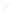The Meetings of October Books (2016) and the production of the production of the production of the production of the production of the production of the production of the production of the production of the production of t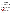#### **Giving Voice to the Outcomes of Our Research**

# **Linda PAVITOLA<sup>1</sup> , Dina BETHERE<sup>2</sup> , Lasma LATSONE<sup>3</sup>**

*<sup>1</sup>Liepaja University, Faculty of Education and Social Work Email:-linda.pavitola@liepu.lv, <sup>2</sup>Liepaja University, Faculty of Education and Social Work Email:-dina.bethere@liepu.lv <sup>3</sup>Liepaja University, Faculty of Education and Social Work Email:-[lasma.latsone@liepu.lv](mailto:lasma.latsone@liepu.lv)*

#### **Abstract**

The authors of the article share the belief that research is an important, valuable and virtuous activity, needed both for researchers themselves and for larger communities, since the outcomes of the research can contribute to xtending the theoretical and practical knowledge for improving the process of teaching and learning and the development of teacher education programmes, as well as perfect researchers` own professional competence. In this article, the authors will communicate their understanding about the research process itself and its outcomes, in order to **example** their significance at both personal and professional levels, as well as gather the reflections and perspectives of early career researchers - Master's level students - about how to reach the outcomes of research and implement them into educational practice. The goal of the study is to explore the aspects of new researchers' professional competence and its significance in the existing practice of educational research, thus promoting a research culture that values good research principles and discovers new perspectives for the implementation of research outcomes. The following research question has been put forward: what kind of support is needed to the new researchers to face the challenges of research processes and implement the outcomes in educational practice. A qualitative case research methodology, based on a social constructivist paradigm and hermeneutic interpretive phenomenology approach, is used to address the topic. The research sample represents 45 new researchers from Liepaja University - selected by using purposeful random sampling strategy, and a survey data collection technique with open-ended questions is used. An interpretive and critical approach to the **data** analysis has been applied and good practice examples derived from the analysis of the survey, thus encouraging researchers to reflect on the features of their professional competence and existing experience and consider how  $\mathbf{R}$  be relevant to others. The findings have helped the authors of this study to identify the possible profile of new researchers pointing to the main challenges that teacher educators face, and enhance appropriate support to new researchers, in  $\alpha$ ,  $\alpha$  help them to be successful on a personal and institutional level, as well as to move towards the national and global  $Q$  vel. These issues reflect on existing situation in the field of education and present the authors` vision of potential meaningful strategies in this context.

Keywords: Educational research, New researchers` profile, Research competence, Research outcomes

#### **1.Introduction**

The theoretical and practical context of the study and beliefs are based on the educational theories and reveal current trends in educational research that highlight the challenges in research processes and reflect the contradiction between the subjective and social significance of the research. The topicality of these issues has resulted from the findings of the previous study undertaken by the authors (Pavitola, Latsone and Bethere, 2016), revealing the need for a change in attitude and the necessity to introduce and support a systemic strategy for research activities. The authors hold a strong commitment to the idea of ensuring the implementation of full research life cycle in educational research practice, which contains not only conceptualising, documenting, describing, analysing, and publishing data, but also translating and engaging or, in other words, re-using the data by involving the potential users of the research outcomes in its actual applications (Corti et al., 2014; RIN/NESTA, 2010).

The theoretical background of our research reveals the current trends in education characterized by postmodernism and constructivism with a democratic and humanistic approach to pedagogy, where increasing importance is assigned to the employment of creative approaches, awareness of diversity aspects and positive pedagogical relationships between experienced and new researchers that develop in these contexts. In order to understand the essence of the research process, its outcomes and impact, the entire ecological system in which it occurs has to be considered (Bronfenbrenner, 1994). The ecological systems theory emphasizes the interactions with others and the environment as a conceptual system and a key to development and ranges from the microsystem - personal level, to the mesosystem, exosystem, and macrosystem that represent institutional, national and global levels.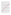Researchers should act in all of these levels according to their goals, professional performance, and professional competence. For example, new researchers might tend to implement their original ideas in practice at a personal, institutional and national level, whereas experienced researchers have to expand the implementation to a global level, at the same time, being active members of the scientific community also at a national level. Transforming the beliefs of the ecological systems theory into research contexts, it has to be emphasized that the process of interactivity between different levels occurs during a long period of time and contains immediate environment, patterns of culture and bodies of knowledge.

Since there exists a problematic of understanding the subjective and social significance of research outcomes, especially among new researchers, it is important to reflect on the aspects of the personal level  $\mathbf{\hat{R}}$  is awareness of interactive processes that occur inside the microsystem and ensure interactivity with other elements of the whole system. New researchers develop their professional competence by exploring the mearest environment and systems they encounter that cause changes in the structure of the mesosystem, the ensuring the subjective significance of their research. In order to progress and have the impact at national and global levels, researchers have to put forward socially significant research objectives that would help to create interactive links between the exosystem and macrosystem, as well as to influence cultural, political and commic contexts. The authors of the article share the belief that acquired professional research competence  $\mathbb{R}$  utmost significance in the whole process of research permeating microsystemic dimensions and developing interactional and transactional relations within mesosystemic and macrosystemic dimensions (Bethere and Mackevica, 2011), thus ensuring opportunities for completing research and giving voice to the outcomes.

Thus, it is important to consider the way in which the notion of competence is defined and its meaning is understood. The authors of the article agree with Biesta (2012; 2015), who communicates competence as a concept that represents an integrative approach to professional action and encompasses knowledge, skills, understandings, values, and purposes, rather than the application of knowledge or the enaction of skills. This includes emotional, theoretical and methodological knowledge, particularly emphasizing emotional aspects that are closely connected with relationship building and interactive behaviours (Biesta, 2012, 2015, Pugh and Tyson, 2014). Competence development strategies, in turn, result in professional dispositions, the concept similar to professional beliefs or values systems, but more complex, as it is manifested in one's behaviour, **kuts** becoming an indicator of the way of being and acting of a person (Jung and Rhodes, 2008; Welch et al., 2014). Vis important to be aware of professional dispositions and develop the ability to apply them into research practice by employing a virtue-based approach, aimed at the formation of research virtuous professionals with "embodic peducational wisdom and embodied ability to make wise educational judgements about what is to be done" (Biesta,  $2015$ , p.10).

Consequently, these aspects might have the potential to promote the professional agency of researchers and place their knowledge, wills and ways of doing within the wider context of the question, as well as create a research network and share the outcomes with the target audience that would appreciate them the most. In this respect sometimes an unfortunate tendency is evident when the audience has difficulties to understand the complicated **Rodels** and figures and their meaning. This can lead to the situation that outcomes are not shared but rather exist in a virtual environment or libraries. Therefore, considering the issues of publishing research results and their impact, there is a need to make them understandable and available for the target audiences. However, when interpreting research outcomes and making them comprehensible to others, the replacing traditional concepts with new ones must be avoided, as it can result in losing the essence of the research that can lead to the endless regress (Quine, 1980).

These ideas have a special relevance for the new researchers, who were selected as a sample of respondents in the study in order to find out what kind of support they need to develop their research competence – not only in terms of organizing, documenting, preserving and sharing the research data but also of promoting scientific discourse, widening opportunities for innovations and making their voices heard.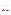Consequently, the goal of the study is to explore the aspects of new researchers' professional competence and its significance in the existing practice of educational research, thus promoting a research culture that values good research principles and discovers new perspectives when implementing the research outcomes. The following research question has been put forward: what kind of support is needed to new researchers to face the challenges of research processes and develop awareness of the subjective and social significance of their research.

## **2.Method**

A qualitative case study research design is used to address the topic, based on a social constructivist paradigm and hermeneutic interpretive phenomenology approach. The research sample represents 45 new researchers, master level students from teacher education study programmes at Liepaja University, who were selected by using purposeful random sampling strategy. A data collection technique of the survey with open-ended questions was used to avoid placing any limits on the response, in order to learn the context and enrich the data. An interpretive and critical approach to the qualitative content analysis has been employed, thus deriving the good practice examples from the survey analysis and encouraging the new researchers to reflect on the features of their professional competence and existing experience and consider how it can be relevant to others. The research design contains three successive phases: 1) elaboration of the survey and gathering data from respondents, 2) analysis of the data using qualitative content analysis, and 3) description of a new researcher's profile in terms of personal qualiteries necessary for facing the challenges of research processes, thus discovering the areas where support is needed and raising awareness of the social significance of research findings in educational practice.

During the survey elaboration process, the authors of this article adapted and employed the model of selfreflection on researcher's personal qualities (adapted from Dieterich and Dieterich, 2007), since professional selfreflection is one of the main aspects of competence development. **Ne** respondents were encouraged to reflect on the features of their professional competence, thus revealing the aspects, where an experienced support is needed. The following open-ended questions, which require non-restricted answers and give an added value to the data analysis and interpretation, were used to complement the data:

- What motivates you to conduct research
- What are the outcomes of your research
- How do you evaluate the opportunities to implement your research results into practice?
- How the involvement in research processes develops your research competence?

The qualitative content analysis was used to interpret meaning of the responses, and the following coding categories from the data were derived by the authors:

- qualities of the new researchers, relying on self-evaluation of their research competence and wation for getting involved in research processes,
- aspects of the research process itself, emphasizing research outcomes and opportunities of their implementation.

Regarding the goal of the study, the aspects of new researchers` professional competence were explored and the data were analysed and interpreted based according to the Model for promoting openness and criticality in educational research (Pavitola, Latsone and Bethere, 2016, p.107), which suggests possible actions of how to ensure the meaningful research process providing the outcomes oriented towards social and economic impact: a) awareness of the goal and the audience, b) collaboration and networking locally, nationally and internationally, c) listening in and sharing experiences, d) analysis of theoretical literature that challenges different points of view, e) dissemination and feedback, and f) personal self – reflection. The model coincides with researcher`s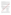qualities needed for raising research competence and awareness of the social significance of research outcomes, thus resulting in professional dispositions` development.

All the data, including the mentioned coding categories, were interpreted by using a critical approach to the data analysis, in accordance with two criterions: a) subjective and b) social significance of the research. Possible interrelations among personal, institutional, national, and global levels of the ecosystem were discerned and good practice examples were derived from the analysis of the survey that gave proof to the opportunities of implementation of research outcomes into educational practice.

The study relies on the professional experience of the authors accumulated at Liepaja University. Although there could be a concern of external validity and generalizability, since the authors have selected a single case why typical for Liepaja University master level students, the implementation of the research design has been influenced by regionalization and specialization of higher education institutions in the context of  $\theta$ system of Latvia, which, in turn, allows to speculate about similar tendencies that occur at  $\mathbb{Q}$ ional level. Moreover, the validity of the outcomes of the study is confirmed by suggested possible ways  $\partial \mathbf{C}$  support needed for the new researchers and the reflection on the possible framework for further research in wider contexts.

## **3.Findings and Results**

## **3.1.Personal qualities of new researchers**

Regarding the first coding category, the description of a new researcher prile was made by selecting the selfevaluated personal qualities that were represented in more than 60% cases and consequently considered as typical for the research sample. These survey data were grouped in accordance with the aspects characterizing the socially recognised research process, identified in the model developed by Pavitola, Latsone and Bethere (2016, p.107), in order to find out relations between  $\mu$ Onew researchers` profile and the aspects of the meaningful research process (see Table 1).



The Table 1 illustrates that the respondents prefer stability, ability to adapt to the social environment and its demands, as well as conformity to other ideas and environment. The new researchers` profile does not include such vital qualities as openness to new ideas, sense of responsibility, and emotional resistance to external influences, as these answers were represented in less than 40 % of cases. Possibly it is caused by doubts about one`s own competence that hinder the ability to reflect on critically and perceive practices in new and meaningful ways.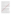Regarding the question about the motivation to join the research process and conduct a research, the responses point to the higher significance of subjective factors rather than social ones. Typical answers were such as *"interest in the topic", "desire to test assumptions", "participation aspects", "obtain Master's degree"*, and *"availability of resources and encouraging research environment"*, whereas aspects of social significance were present in the responses like *"finding solution for the problems" and "other people will benefit from the outcomes"*. Only in individual cases, the respondents mentioned that their motivation is driven by the desire to be part of educational processes to benefit one's own children or to bring change in schools, as well as by the ambition for personal and professional growth.

Subjective factors are dominant also in the self-evaluation of the dynamics of the respondents` research competence development during the research practice. Resulting from the data, the majority of new researchers point to the enrichment of knowledge and competence, and present their opinion about the research skilly they improved, for example, *"I reached understanding about how to go about implementing my researationally learnt to combine different research methods", "I improved communication skills, analytical abanest"*, and "*I learned to ask questions and talk to people"*.

Some responses reveal different opinions and perspectives, which reveal a trend toward the awareness of the impact of research outcomes. These answers reflect on creating relationships and sharing research outcomes not only at the personal level, but also in wider contexts that point to the social significance. The data illustrate that the respondents have experienced a research as a process of learning by domained they have gained a deeper understanding of how to use the obtained knowledge in praxis, as well as they feel more confident and open to new ideas and experiments. Among this type of experiences, there were mentioned such answers as *"I was able* to get involved in class work and help the students", "It influenced my stereotypes allowing to look at research *questions more qualitatively"*, and "*It gave me opportunity to look critically at my work and change my attitude"*. However, one of the new researchers was very convinced of her/his research skills – "I already have *researcher's competence"*.

## **3.2.Aspects of the research process itself**

Regarding the findings of the second coding category, the emphasis is put on the outcomes of research and opportunities for their implementation, thus revealing whether the outcomes are valued as subjectively and/or socially relevant and turning a particular attention towards the presence of social significance. Reflecting on one's own research experience, the respondents rarely mentioned or analysed the findings of their own research – the answers were very general and **in** the majority of cases they gave a description of what was the study about, but no outcomes were mentioned. The most typical general phrases used by the respondents to answer the question of what are the out**comes** of own research, are the following - "*the hypothesis was approved"*, *"experimental group had more creative works", "results were positive", "there is a need to pay greater attention to course books"* and others. Relatively rarely did the respondents describe real results – only 7 out of 45. These responses confirmed the significance of the outcomes in a wider social context – among them were recommendations for methodology improvement, elaborated experimental programme, and a model of promoting participation. However, there also was present an individual opinion that there is a need to conform to rules and conditions, in order to get a positive evaluation of a master paper.

Regarding to the last question of the survey, which asks to evaluate the opportunities of implementation of the research results into educational practice, the answers of the respondents show an optimistic tendency – almost all responses were positive, for example, *"Everything is possible, especially if people are oriented towards positive change", "I believe that the results should be implemented gradually: step by step",* or *"I would really like to implement my research results in praxis"*. However, some respondents were cautious and critical, considering that it is possible but complicated and it is difficult to make the prognosis, as *"it is not a job for one person"*. Some of the answers pointed to external factors that could hinder the implementation of the outcomes, for example, *"It depends on the institution – its leadership, readiness and attitude"*, as well as on internal factors connected with self-evaluation of research competence – *"I will implement it when I become more skillful"*.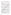Resulting from the findings of the study, the research outcomes of the respondents are related to the microsystem of higher education. However, taking into consideration the unity of national macrosystem`s demands regarding the research process itself and its coordination, common tendencies are present in the process of giving the voice to the research outcomes in the field of educational research that illustrate a possible profile of new researchers and present the authors` vision of potential and meaningful support strategies for individual research goals that arise in this context.

### **4.Discussion and Conclusion**

In order to explore possible perspectives regarding to the research problematic by seeking for answers of what kind of support is needed to the new researchers to face the challenges of research processes and develop awareness of the subjective and social significance of their research, the authors of the study analysed and interpreted the findings according to the criterions, which reveal the aspects of research competence of the respondents, their attitude and dynamics of making progress towards the comprehension of social significance of research outcomes, that, in turn, could give input into raised awareness of professional dispositions.

The empirical study confirms the theoretical beliefs that in a modern society the categories of the personal and social significance of the research are practically inseparable. Developmental trends  $\mathbb{Q}_3$  and towards the social environment of pluralism, cause spontaneous changes of the traditional environment, subcultures and a type of the lifestyle. As a result, a greater role in social processes is assigned the individual perception and evaluation (Flick, 2002).

It is evident the research process is affected by global processes and political decisions, consequently initiating significant scientific projects. However, in the context of social **changes**, the research topicality to a great extent is determined by social needs of a personality and its creative activity. At the same time, at least in the context of Latvia higher education system, there is a requirement for research novelty at least at the theoretical level. Regarding the above-mentioned social changes, such  $\log$  might be quite complex or impossible for the new researcher. Therefore, a need arises for the informed support, in order to study the facts, events, ideas and develop original explanations, and, at the same time, covering a wider scope of an individual's life than just one microsystem.

Expanding on earlier work by the authors, which communicates good research principles and contains suggestions for their implementation into the process of educational research, as well as relying on the Model for promoting openness and critical in educational research described in the Method section (Pavitola, Latsone and Bethere, 2016), this study was intended to highlight the aspects of new researchers` personal qualities that support professional competence and enhance meaningful research process. Consequently, a possible profile of new researchers was identified, pointing to the main challenges and appropriate support strategies that could promote awareness of research process and its outcomes on a personal and institutional level, as well as enhance the progress of research towards the national and global levels. These issues are closely connected with the aspects of **research** culture inside the research community and employment of a virtue-based approach, thus allowing the new researchers to develop their research competence and raise awareness of professional dispositions (Biesta, 2012, 2015; Welch et al., 2014).

The analysis of the findings underpinning the developed new researchers` profile, points to the tendency towards the preference of the traditional research process, where the respondents position themselves as observers rather than active participants. Although the study confirms that they highly value social contacts, other aspects of the self-evaluation reflect on a common and usual practice of choosing to explore some problem without being aware of its possible implementation into existing educational practices. Therefore, it is necessary to orient possible support towards promoting such personal qualities as independence, self-reliance, willingness and ability to apply nonconventional approaches and abstract ideas. In order to raise awareness of the socially significant research outcomes, there is a need for reflection throughout the whole research process, in order to be able to engage with possible challenges and topical problematic.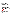The authors hold a strong commitment to the idea that it is essential to be aware of the research process and its phases, starting with putting forward socially significant goals and elaborating possible research design, and moving up to the publishing, sharing and re-using the finding, thus giving voice to the outcomes of the research. This also raises a question about the position of a researcher in the whole process, being aware of the both subjective and social significance of the outcomes. Regarding future prospects, the analysis of the findings implied that, although new researchers highly value social contacts, trust in other people, self-reliance, and flexible approaches, they still lack a comprehension about how to define the outcomes of their research and willingness to implement and test the results into educational practice. It has to be emphasized that merely a publication of the research findings does not mean that the research is accomplished and its results available for the wider audience.

Possibly the dynamics of the new researchers' competence development is rooted in the aspects of their motivation to undertake a research, as well as in their ability or inability to define the goals and research questions for their studies. If the motivation is external and connected with the desire to obtain a mater`s degree or the selection of the topic is based on such criterions as available materials or outer demands, holes not enable the development of original ideas and their implementation into educational practice. Consequently, it is important to identify and avoid such type of situations, as they raise concerns about the issues due to the research competence development and presence of professional dispositions.

Resulting from the findings of the theoretical and empirical study, the publics can draw the following conclusions in relation to the defined research goal and the research question:

- 1. In the academic context of the explored single case, there **is a contradiction** between the social and subjective significance of the research, as well as an insufficient orientation towards the research goals and the audience, who would benefit from these results.
- 2. Self-evaluation of the new researcher` personal qualities proves the scientific potential of new researchers by demonstrating the willingness to implement the received outcomes in practice, however, reflecting on the research motivation aspects, the predominance of subjective factors over social ones is present.
- 3. The developed new researchers` profile reveals the preference of being involved in a traditional research process, where the respondents can position themselves as observers rather than active participants. Although the study confirms the significance of social contacts, there is a need to strengthen such new researchers<sup>(dualities as flexibility, openness to new ideas, use of unconventional</sup> approaches and trust in one`s own competence.
- 4. There is a lack of a **heading**ful and informed support oriented towards the development of the respondents` research competence, which would allow to reflect, critically evaluate, carry out comparative analysis, and raise the awareness of the research outcomes, thus enabling the new researchers to progress from personal level towards national and global ones, by moving from the subjective to social significance and creating meaningful relationships within the ecosystem to foster awareness of professional dispositions.

# **5.Recommendations**

Due the limits of the case study, it is not possible to generalize the findings as typical for all scientific community in Latvia, however, the findings suggest the framework for improving research practice and articulate possible recommendations as well as highlight strategies for informed and experienced support needed for the new researchers:

- 1. The study process of master level students has to support and improve the strengths oriented to collaboration and networking, and research skills development with a particular emphasis on raising the aspects of self-reliance.
- 2. There is a need to ensure a positive context and resources regarding the process of conducting and accomplishing the research to be able to develop interactive relationships among all levels of the ecosystem.